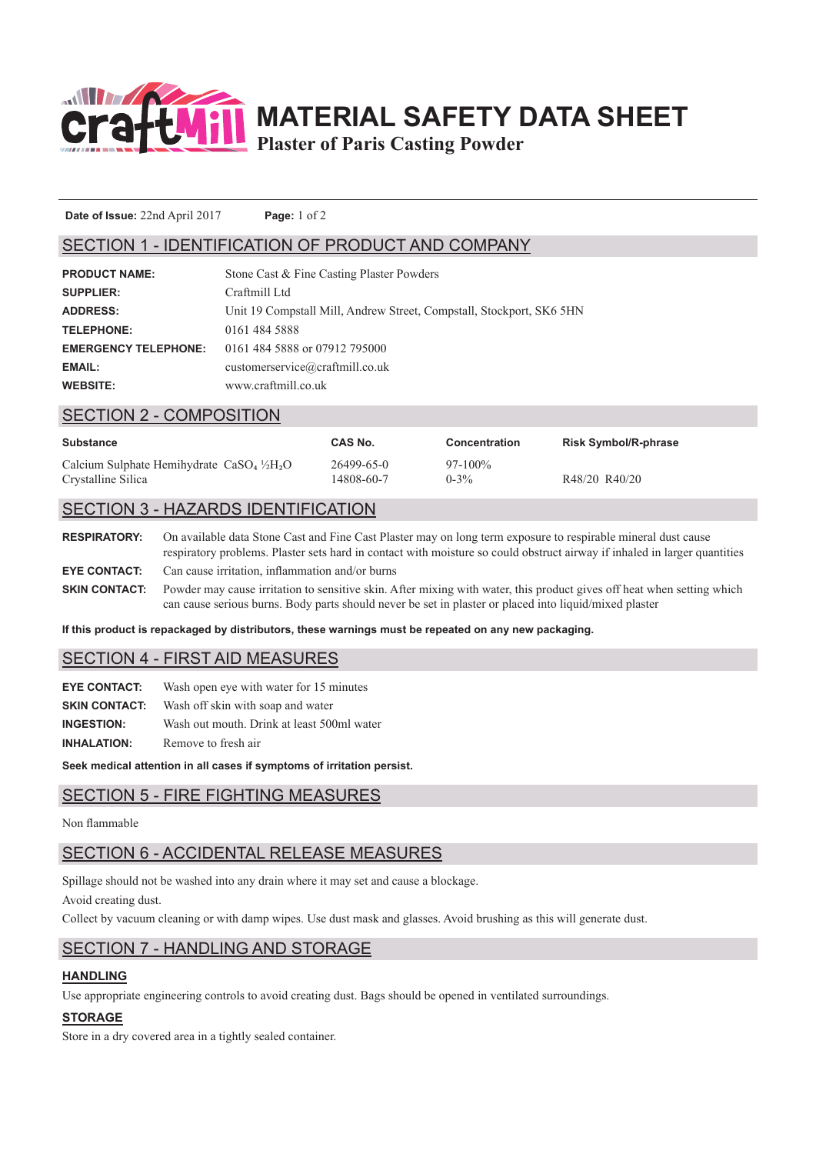

**MATERIAL SAFETY DATA SHEET**

**Plaster of Paris Casting Powder**

**Date of Issue:** 22nd April 2017 **Page:** 1 of 2

### SECTION 1 - IDENTIFICATION OF PRODUCT AND COMPANY

| <b>SUPPLIER:</b><br>Craftmill Ltd<br>Unit 19 Compstall Mill, Andrew Street, Compstall, Stockport, SK6 5HN<br><b>ADDRESS:</b><br>0161 484 5888<br><b>TELEPHONE:</b><br>0161 484 5888 or 07912 795000<br><b>EMERGENCY TELEPHONE:</b><br>customerservice@craftmill.co.uk<br><b>EMAIL:</b><br>www.craftmill.co.uk<br><b>WEBSITE:</b> | <b>PRODUCT NAME:</b> | Stone Cast & Fine Casting Plaster Powders |
|----------------------------------------------------------------------------------------------------------------------------------------------------------------------------------------------------------------------------------------------------------------------------------------------------------------------------------|----------------------|-------------------------------------------|
|                                                                                                                                                                                                                                                                                                                                  |                      |                                           |
|                                                                                                                                                                                                                                                                                                                                  |                      |                                           |
|                                                                                                                                                                                                                                                                                                                                  |                      |                                           |
|                                                                                                                                                                                                                                                                                                                                  |                      |                                           |
|                                                                                                                                                                                                                                                                                                                                  |                      |                                           |
|                                                                                                                                                                                                                                                                                                                                  |                      |                                           |

#### SECTION 2 - COMPOSITION

| <b>Substance</b>                                      | CAS No.    | <b>Concentration</b> | <b>Risk Symbol/R-phrase</b> |
|-------------------------------------------------------|------------|----------------------|-----------------------------|
| Calcium Sulphate Hemihydrate $CaSO4$ $\frac{1}{2}H2O$ | 26499-65-0 | $97-100\%$           | R48/20 R40/20               |
| Crystalline Silica                                    | 14808-60-7 | $0-3\%$              |                             |

# SECTION 3 - HAZARDS IDENTIFICATION

**RESPIRATORY:** On available data Stone Cast and Fine Cast Plaster may on long term exposure to respirable mineral dust cause respiratory problems. Plaster sets hard in contact with moisture so could obstruct airway if inhaled in larger quantities **EYE CONTACT:** Can cause irritation, inflammation and/or burns **SKIN CONTACT:** Powder may cause irritation to sensitive skin. After mixing with water, this product gives off heat when setting which can cause serious burns. Body parts should never be set in plaster or placed into liquid/mixed plaster

**If this product is repackaged by distributors, these warnings must be repeated on any new packaging.**

### SECTION 4 - FIRST AID MEASURES

| <b>EYE CONTACT:</b>  | Wash open eve with water for 15 minutes    |
|----------------------|--------------------------------------------|
| <b>SKIN CONTACT:</b> | Wash off skin with soap and water          |
| <b>INGESTION:</b>    | Wash out mouth. Drink at least 500ml water |
| <b>INHALATION:</b>   | Remove to fresh air                        |

**Seek medical attention in all cases if symptoms of irritation persist.**

### SECTION 5 - FIRE FIGHTING MEASURES

#### Non flammable

# SECTION 6 - ACCIDENTAL RELEASE MEASURES

Spillage should not be washed into any drain where it may set and cause a blockage. Avoid creating dust.

Collect by vacuum cleaning or with damp wipes. Use dust mask and glasses. Avoid brushing as this will generate dust.

# SECTION 7 - HANDLING AND STORAGE

### **HANDLING**

Use appropriate engineering controls to avoid creating dust. Bags should be opened in ventilated surroundings.

### **STORAGE**

Store in a dry covered area in a tightly sealed container.